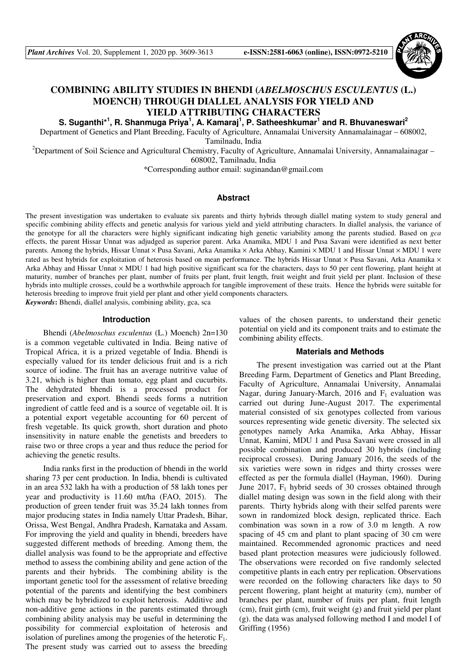

# **COMBINING ABILITY STUDIES IN BHENDI (***ABELMOSCHUS ESCULENTUS* **(L.) MOENCH) THROUGH DIALLEL ANALYSIS FOR YIELD AND YIELD ATTRIBUTING CHARACTERS**

 $S$ . Suganthi\*<sup>1</sup>, R. Shanmuga Priya<sup>1</sup>, A. Kamaraj<sup>1</sup>, P. Satheeshkumar<sup>1</sup> and R. Bhuvaneswari<sup>2</sup>

Department of Genetics and Plant Breeding, Faculty of Agriculture, Annamalai University Annamalainagar – 608002, Tamilnadu, India

<sup>2</sup>Department of Soil Science and Agricultural Chemistry, Faculty of Agriculture, Annamalai University, Annamalainagar – 608002, Tamilnadu, India

\*Corresponding author email: suginandan@gmail.com

#### **Abstract**

The present investigation was undertaken to evaluate six parents and thirty hybrids through diallel mating system to study general and specific combining ability effects and genetic analysis for various yield and yield attributing characters. In diallel analysis, the variance of the genotype for all the characters were highly significant indicating high genetic variability among the parents studied. Based on *gca*  effects, the parent Hissar Unnat was adjudged as superior parent. Arka Anamika, MDU 1 and Pusa Savani were identified as next better parents. Among the hybrids, Hissar Unnat × Pusa Savani, Arka Anamika × Arka Abhay, Kamini × MDU 1 and Hissar Unnat × MDU 1 were rated as best hybrids for exploitation of heterosis based on mean performance. The hybrids Hissar Unnat × Pusa Savani, Arka Anamika × Arka Abhay and Hissar Unnat × MDU 1 had high positive significant sca for the characters, days to 50 per cent flowering, plant height at maturity, number of branches per plant, number of fruits per plant, fruit length, fruit weight and fruit yield per plant. Inclusion of these hybrids into multiple crosses, could be a worthwhile approach for tangible improvement of these traits. Hence the hybrids were suitable for heterosis breeding to improve fruit yield per plant and other yield components characters.

*Keywords***:** Bhendi, diallel analysis, combining ability, gca, sca

#### **Introduction**

Bhendi (*Abelmoschus esculentus* (L.) Moench) 2n=130 is a common vegetable cultivated in India. Being native of Tropical Africa, it is a prized vegetable of India. Bhendi is especially valued for its tender delicious fruit and is a rich source of iodine. The fruit has an average nutritive value of 3.21, which is higher than tomato, egg plant and cucurbits. The dehydrated bhendi is a processed product for preservation and export. Bhendi seeds forms a nutrition ingredient of cattle feed and is a source of vegetable oil. It is a potential export vegetable accounting for 60 percent of fresh vegetable. Its quick growth, short duration and photo insensitivity in nature enable the genetists and breeders to raise two or three crops a year and thus reduce the period for achieving the genetic results.

India ranks first in the production of bhendi in the world sharing 73 per cent production. In India, bhendi is cultivated in an area 532 lakh ha with a production of 58 lakh tones per year and productivity is 11.60 mt/ha (FAO, 2015). The production of green tender fruit was 35.24 lakh tonnes from major producing states in India namely Uttar Pradesh, Bihar, Orissa, West Bengal, Andhra Pradesh, Karnataka and Assam. For improving the yield and quality in bhendi, breeders have suggested different methods of breeding. Among them, the diallel analysis was found to be the appropriate and effective method to assess the combining ability and gene action of the parents and their hybrids. The combining ability is the important genetic tool for the assessment of relative breeding potential of the parents and identifying the best combiners which may be hybridized to exploit heterosis. Additive and non-additive gene actions in the parents estimated through combining ability analysis may be useful in determining the possibility for commercial exploitation of heterosis and isolation of purelines among the progenies of the heterotic  $F_1$ . The present study was carried out to assess the breeding

values of the chosen parents, to understand their genetic potential on yield and its component traits and to estimate the combining ability effects.

#### **Materials and Methods**

The present investigation was carried out at the Plant Breeding Farm, Department of Genetics and Plant Breeding, Faculty of Agriculture, Annamalai University, Annamalai Nagar, during January-March, 2016 and  $F_1$  evaluation was carried out during June-August 2017. The experimental material consisted of six genotypes collected from various sources representing wide genetic diversity. The selected six genotypes namely Arka Anamika, Arka Abhay, Hissar Unnat, Kamini, MDU 1 and Pusa Savani were crossed in all possible combination and produced 30 hybrids (including reciprocal crosses). During January 2016, the seeds of the six varieties were sown in ridges and thirty crosses were effected as per the formula diallel (Hayman, 1960). During June 2017,  $F_1$  hybrid seeds of 30 crosses obtained through diallel mating design was sown in the field along with their parents. Thirty hybrids along with their selfed parents were sown in randomized block design, replicated thrice. Each combination was sown in a row of 3.0 m length. A row spacing of 45 cm and plant to plant spacing of 30 cm were maintained. Recommended agronomic practices and need based plant protection measures were judiciously followed. The observations were recorded on five randomly selected competitive plants in each entry per replication. Observations were recorded on the following characters like days to 50 percent flowering, plant height at maturity (cm), number of branches per plant, number of fruits per plant, fruit length (cm), fruit girth (cm), fruit weight (g) and fruit yield per plant (g). the data was analysed following method I and model I of Griffing (1956)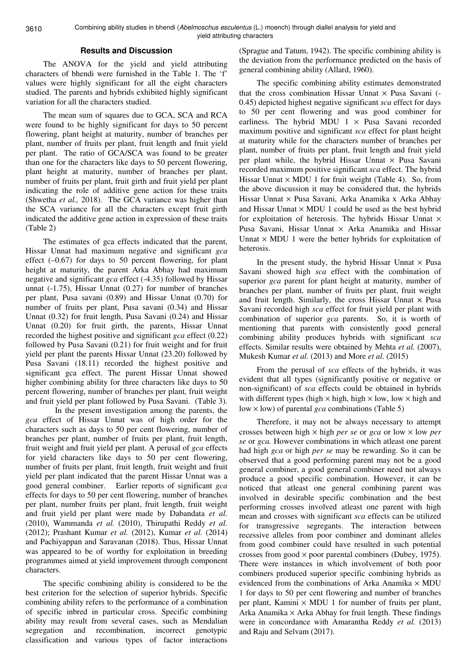### **Results and Discussion**

The ANOVA for the yield and yield attributing characters of bhendi were furnished in the Table 1. The 'f' values were highly significant for all the eight characters studied. The parents and hybrids exhibited highly significant variation for all the characters studied.

The mean sum of squares due to GCA, SCA and RCA were found to be highly significant for days to 50 percent flowering, plant height at maturity, number of branches per plant, number of fruits per plant, fruit length and fruit yield per plant. The ratio of GCA/SCA was found to be greater than one for the characters like days to 50 percent flowering, plant height at maturity, number of branches per plant, number of fruits per plant, fruit girth and fruit yield per plant indicating the role of additive gene action for these traits (Shwetha *et al.,* 2018). The GCA variance was higher than the SCA variance for all the characters except fruit girth indicated the additive gene action in expression of these traits (Table 2)

The estimates of gca effects indicated that the parent, Hissar Unnat had maximum negative and significant *gca*  effect  $(-0.67)$  for days to 50 percent flowering, for plant height at maturity, the parent Arka Abhay had maximum negative and significant *gca* effect (-4.35) followed by Hissar unnat (-1.75), Hissar Unnat (0.27) for number of branches per plant, Pusa savani (0.89) and Hissar Unnat (0.70) for number of fruits per plant, Pusa savani (0.34) and Hissar Unnat (0.32) for fruit length, Pusa Savani (0.24) and Hissar Unnat (0.20) for fruit girth, the parents, Hissar Unnat recorded the highest positive and significant *gca* effect (0.22) followed by Pusa Savani (0.21) for fruit weight and for fruit yield per plant the parents Hissar Unnat (23.20) followed by Pusa Savani (18.11) recorded the highest positive and significant gca effect. The parent Hissar Unnat showed higher combining ability for three characters like days to 50 percent flowering, number of branches per plant, fruit weight and fruit yield per plant followed by Pusa Savani. (Table 3).

 In the present investigation among the parents, the *gca* effect of Hissar Unnat was of high order for the characters such as days to 50 per cent flowering, number of branches per plant, number of fruits per plant, fruit length, fruit weight and fruit yield per plant. A perusal of *gca* effects for yield characters like days to 50 per cent flowering, number of fruits per plant, fruit length, fruit weight and fruit yield per plant indicated that the parent Hissar Unnat was a good general combiner. Earlier reports of significant *gca*  effects for days to 50 per cent flowering, number of branches per plant, number fruits per plant, fruit length, fruit weight and fruit yield per plant were made by Dabandata *et al.*  (2010), Wammanda *et al.* (2010), Thirupathi Reddy *et al.*  (2012); Prashant Kumar *et al.* (2012), Kumar *et al.* (2014) and Pachiyappan and Saravanan (2018). Thus, Hissar Unnat was appeared to be of worthy for exploitation in breeding programmes aimed at yield improvement through component characters.

The specific combining ability is considered to be the best criterion for the selection of superior hybrids. Specific combining ability refers to the performance of a combination of specific inbred in particular cross. Specific combining ability may result from several cases, such as Mendalian segregation and recombination, incorrect genotypic classification and various types of factor interactions

(Sprague and Tatum, 1942). The specific combining ability is the deviation from the performance predicted on the basis of general combining ability (Allard, 1960).

The specific combining ability estimates demonstrated that the cross combination Hissar Unnat  $\times$  Pusa Savani (-0.45) depicted highest negative significant *sca* effect for days to 50 per cent flowering and was good combiner for earliness. The hybrid MDU  $1 \times$  Pusa Savani recorded maximum positive and significant *sca* effect for plant height at maturity while for the characters number of branches per plant, number of fruits per plant, fruit length and fruit yield per plant while, the hybrid Hissar Unnat  $\times$  Pusa Savani recorded maximum positive significant *sca* effect. The hybrid Hissar Unnat  $\times$  MDU 1 for fruit weight (Table 4). So, from the above discussion it may be considered that, the hybrids Hissar Unnat × Pusa Savani, Arka Anamika x Arka Abhay and Hissar Unnat  $\times$  MDU 1 could be used as the best hybrid for exploitation of heterosis. The hybrids Hissar Unnat  $\times$ Pusa Savani, Hissar Unnat × Arka Anamika and Hissar Unnat  $\times$  MDU 1 were the better hybrids for exploitation of heterosis.

In the present study, the hybrid Hissar Unnat  $\times$  Pusa Savani showed high *sca* effect with the combination of superior *gca* parent for plant height at maturity, number of branches per plant, number of fruits per plant, fruit weight and fruit length. Similarly, the cross Hissar Unnat  $\times$  Pusa Savani recorded high *sca* effect for fruit yield per plant with combination of superior *gca* parents. So, it is worth of mentioning that parents with consistently good general combining ability produces hybrids with significant *sca*  effects. Similar results were obtained by Mehta *et al.* (2007), Mukesh Kumar *et al.* (2013) and More *et al*. (2015)

From the perusal of *sca* effects of the hybrids, it was evident that all types (significantly positive or negative or non-significant) of *sca* effects could be obtained in hybrids with different types (high  $\times$  high, high  $\times$  low, low  $\times$  high and low × low) of parental *gca* combinations (Table 5)

Therefore, it may not be always necessary to attempt crosses between high × high *per se* or *gca* or low × low *per se* or *gca.* However combinations in which atleast one parent had high *gca* or high *per se* may be rewarding. So it can be observed that a good performing parent may not be a good general combiner, a good general combiner need not always produce a good specific combination. However, it can be noticed that atleast one general combining parent was involved in desirable specific combination and the best performing crosses involved atleast one parent with high mean and crosses with significant *sca* effects can be utilized for transgressive segregants. The interaction between recessive alleles from poor combiner and dominant alleles from good combiner could have resulted in such potential crosses from good  $\times$  poor parental combiners (Dubey, 1975). There were instances in which involvement of both poor combiners produced superior specific combining hybrids as evidenced from the combinations of Arka Anamika  $\times$  MDU 1 for days to 50 per cent flowering and number of branches per plant, Kamini  $\times$  MDU 1 for number of fruits per plant, Arka Anamika  $\times$  Arka Abhay for fruit length. These findings were in concordance with Amarantha Reddy *et al.* (2013) and Raju and Selvam (2017).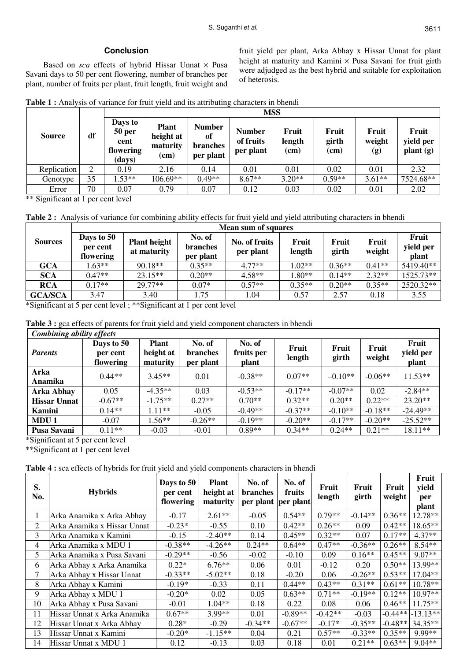## **Conclusion**

Based on *sca* effects of hybrid Hissar Unnat × Pusa Savani days to 50 per cent flowering, number of branches per plant, number of fruits per plant, fruit length, fruit weight and fruit yield per plant, Arka Abhay x Hissar Unnat for plant height at maturity and Kamini  $\times$  Pusa Savani for fruit girth were adjudged as the best hybrid and suitable for exploitation of heterosis.

|  |  | <b>Table 1:</b> Analysis of variance for fruit yield and its attributing characters in bhendi |  |
|--|--|-----------------------------------------------------------------------------------------------|--|
|  |  |                                                                                               |  |

|               |    | <b>MSS</b>                                       |                                               |                                              |                                         |                         |                          |                                               |                                |  |  |
|---------------|----|--------------------------------------------------|-----------------------------------------------|----------------------------------------------|-----------------------------------------|-------------------------|--------------------------|-----------------------------------------------|--------------------------------|--|--|
| <b>Source</b> | df | Days to<br>50 per<br>cent<br>flowering<br>(days) | <b>Plant</b><br>height at<br>maturity<br>(cm) | <b>Number</b><br>of<br>branches<br>per plant | <b>Number</b><br>of fruits<br>per plant | Fruit<br>length<br>(cm) | Fruit<br>girth<br>$(cm)$ | Fruit<br>weight<br>$\left( \mathbf{g}\right)$ | Fruit<br>yield per<br>plant(g) |  |  |
| Replication   | 2  | 0.19                                             | 2.16                                          | 0.14                                         | 0.01                                    | 0.01                    | 0.02                     | 0.01                                          | 2.32                           |  |  |
| Genotype      | 35 | $1.53**$                                         | 106.69**                                      | $0.49**$                                     | $8.67**$                                | $3.20**$                | $0.59**$                 | $3.61**$                                      | 7524.68**                      |  |  |
| Error         | 70 | 0.07                                             | 0.79                                          | 0.07                                         | 0.12                                    | 0.03                    | 0.02                     | 0.01                                          | 2.02                           |  |  |

\*\* Significant at 1 per cent level

**Table 2 :** Analysis of variance for combining ability effects for fruit yield and yield attributing characters in bhendi

|                | Mean sum of squares                 |                                    |                                        |                            |                 |                |                 |                             |  |  |  |
|----------------|-------------------------------------|------------------------------------|----------------------------------------|----------------------------|-----------------|----------------|-----------------|-----------------------------|--|--|--|
| <b>Sources</b> | Days to 50<br>per cent<br>flowering | <b>Plant height</b><br>at maturity | No. of<br><b>branches</b><br>per plant | No. of fruits<br>per plant | Fruit<br>length | Fruit<br>girth | Fruit<br>weight | Fruit<br>yield per<br>plant |  |  |  |
| <b>GCA</b>     | $1.63**$                            | $90.18**$                          | $0.35**$                               | $4.77**$                   | $.02**$         | $0.36**$       | $0.41**$        | 5419.40**                   |  |  |  |
| <b>SCA</b>     | $0.47**$                            | $23.15**$                          | $0.20**$                               | $4.58**$                   | $0^{**}$        | $0.14**$       | $2.32**$        | 1525.73**                   |  |  |  |
| <b>RCA</b>     | $0.17**$                            | $29.77**$                          | $0.07*$                                | $0.57**$                   | $0.35**$        | $0.20**$       | $0.35**$        | 2520.32**                   |  |  |  |
| <b>GCA/SCA</b> | 3.47                                | 3.40                               | 1.75                                   | 1.04                       | 0.57            | 2.57           | 0.18            | 3.55                        |  |  |  |

\*Significant at 5 per cent level ; \*\*Significant at 1 per cent level

**Table 3 :** gca effects of parents for fruit yield and yield component characters in bhendi

| <b>Combining ability effects</b> |                                     |                                       |                                        |                               |                 |                |                 |                             |  |  |
|----------------------------------|-------------------------------------|---------------------------------------|----------------------------------------|-------------------------------|-----------------|----------------|-----------------|-----------------------------|--|--|
| <b>Parents</b>                   | Days to 50<br>per cent<br>flowering | <b>Plant</b><br>height at<br>maturity | No. of<br><b>branches</b><br>per plant | No. of<br>fruits per<br>plant | Fruit<br>length | Fruit<br>girth | Fruit<br>weight | Fruit<br>yield per<br>plant |  |  |
| Arka<br>Anamika                  | $0.44**$                            | $3.45**$                              | 0.01                                   | $-0.38**$                     | $0.07**$        | $-0.10**$      | $-0.06**$       | $11.53**$                   |  |  |
| Arka Abhay                       | 0.05                                | $-4.35**$                             | 0.03                                   | $-0.53**$                     | $-0.17**$       | $-0.07**$      | 0.02            | $-2.84**$                   |  |  |
| <b>Hissar Unnat</b>              | $-0.67**$                           | $-1.75**$                             | $0.27**$                               | $0.70**$                      | $0.32**$        | $0.20**$       | $0.22**$        | $23.20**$                   |  |  |
| Kamini                           | $0.14**$                            | $1.11***$                             | $-0.05$                                | $-0.49**$                     | $-0.37**$       | $-0.10**$      | $-0.18**$       | $-24.49**$                  |  |  |
| MDU 1                            | $-0.07$                             | $1.56**$                              | $-0.26**$                              | $-0.19**$                     | $-0.20**$       | $-0.17**$      | $-0.20**$       | $-25.52**$                  |  |  |
| Pusa Savani                      | $0.11**$                            | $-0.03$                               | $-0.01$                                | $0.89**$                      | $0.34**$        | $0.24**$       | $0.21**$        | $18.11**$                   |  |  |

\*Significant at 5 per cent level

\*\*Significant at 1 per cent level

**Table 4 :** sca effects of hybrids for fruit yield and yield components characters in bhendi

| S.<br>No. | <b>Hybrids</b>              | Days to 50<br>per cent<br>flowering | <b>Plant</b><br>height at<br>maturity | No. of<br><b>branches</b><br>per plant  per plant | No. of<br>fruits | Fruit<br>length | Fruit<br>girth | Fruit<br>weight | Fruit<br>yield<br>per<br>plant |
|-----------|-----------------------------|-------------------------------------|---------------------------------------|---------------------------------------------------|------------------|-----------------|----------------|-----------------|--------------------------------|
| 1         | Arka Anamika x Arka Abhay   | $-0.17$                             | $2.61**$                              | $-0.05$                                           | $0.54**$         | $0.79**$        | $-0.14**$      | $0.36**$        | $12.78**$                      |
| 2         | Arka Anamika x Hissar Unnat | $-0.23*$                            | $-0.55$                               | 0.10                                              | $0.42**$         | $0.26**$        | 0.09           | $0.42**$        | $18.65**$                      |
| 3         | Arka Anamika x Kamini       | $-0.15$                             | $-2.40**$                             | 0.14                                              | $0.45**$         | $0.32**$        | 0.07           | $0.17**$        | $4.37**$                       |
| 4         | Arka Anamika x MDU 1        | $-0.38**$                           | $-4.26**$                             | $0.24**$                                          | $0.64**$         | $0.47**$        | $-0.36**$      | $0.26**$        | $8.54**$                       |
| 5         | Arka Anamika x Pusa Savani  | $-0.29**$                           | $-0.56$                               | $-0.02$                                           | $-0.10$          | 0.09            | $0.16**$       | $0.45**$        | $9.07**$                       |
| 6         | Arka Abhay x Arka Anamika   | $0.22*$                             | $6.76**$                              | 0.06                                              | 0.01             | $-0.12$         | 0.20           | $0.50**$        | 13.99**                        |
| 7         | Arka Abhay x Hissar Unnat   | $-0.33**$                           | $-5.02**$                             | 0.18                                              | $-0.20$          | 0.06            | $-0.26**$      | $0.53**$        | $17.04**$                      |
| 8         | Arka Abhay x Kamini         | $-0.19*$                            | $-0.33$                               | 0.11                                              | $0.44**$         | $0.43**$        | $0.31**$       | $0.61**$        | $10.78**$                      |
| 9         | Arka Abhay x MDU 1          | $-0.20*$                            | 0.02                                  | 0.05                                              | $0.63**$         | $0.71**$        | $-0.19**$      | $0.12**$        | $10.97**$                      |
| 10        | Arka Abhay x Pusa Savani    | $-0.01$                             | $1.04**$                              | 0.18                                              | 0.22             | 0.08            | 0.06           | $0.46**$        | $11.75***$                     |
| 11        | Hissar Unnat x Arka Anamika | $0.67**$                            | 3.99**                                | 0.01                                              | $-0.89**$        | $-0.42**$       | $-0.03$        | $-0.44**$       | $-13.13**$                     |
| 12        | Hissar Unnat x Arka Abhay   | $0.28*$                             | $-0.29$                               | $-0.34**$                                         | $-0.67**$        | $-0.17*$        | $-0.35**$      | $-0.48**$       | $34.35**$                      |
| 13        | Hissar Unnat x Kamini       | $-0.20*$                            | $-1.15**$                             | 0.04                                              | 0.21             | $0.57**$        | $-0.33**$      | $0.35**$        | 9.99**                         |
| 14        | Hissar Unnat x MDU 1        | 0.12                                | $-0.13$                               | 0.03                                              | 0.18             | 0.01            | $0.21**$       | $0.63**$        | $9.04**$                       |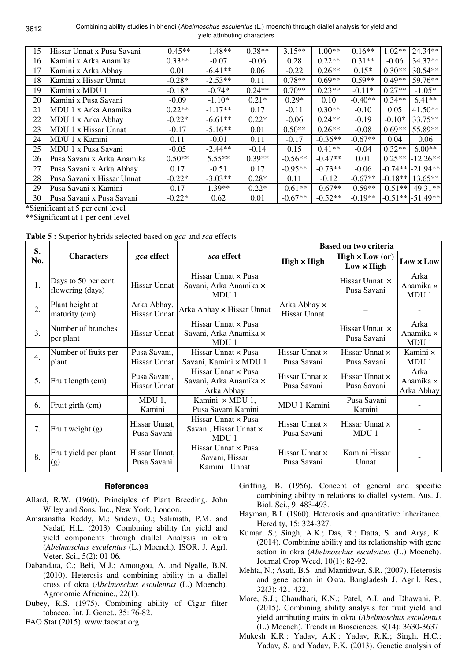| 15 | Hissar Unnat x Pusa Savani | $-0.45**$ | $-1.48**$ | $0.38**$ | $3.15**$  | $1.00**$  | $0.16**$  | $1.02**$  | $24.34**$            |
|----|----------------------------|-----------|-----------|----------|-----------|-----------|-----------|-----------|----------------------|
| 16 | Kamini x Arka Anamika      | $0.33**$  | $-0.07$   | $-0.06$  | 0.28      | $0.22**$  | $0.31**$  | $-0.06$   | $34.37**$            |
| 17 | Kamini x Arka Abhay        | 0.01      | $-6.41**$ | 0.06     | $-0.22$   | $0.26**$  | $0.15*$   | $0.30**$  | 30.54**              |
| 18 | Kamini x Hissar Unnat      | $-0.28*$  | $-2.53**$ | 0.11     | $0.78**$  | $0.69**$  | $0.59**$  | $0.49**$  | 59.76**              |
| 19 | Kamini x MDU 1             | $-0.18*$  | $-0.74*$  | $0.24**$ | $0.70**$  | $0.23**$  | $-0.11*$  | $0.27**$  | $-1.05*$             |
| 20 | Kamini x Pusa Savani       | $-0.09$   | $-1.10*$  | $0.21*$  | $0.29*$   | 0.10      | $-0.40**$ | $0.34**$  | $6.41**$             |
| 21 | MDU 1 x Arka Anamika       | $0.22**$  | $-1.17**$ | 0.17     | $-0.11$   | $0.30**$  | $-0.10$   | 0.05      | $41.50**$            |
| 22 | MDU 1 x Arka Abhay         | $-0.22*$  | $-6.61**$ | $0.22*$  | $-0.06$   | $0.24**$  | $-0.19$   | $-0.10*$  | $33.75**$            |
| 23 | MDU 1 x Hissar Unnat       | $-0.17$   | $-5.16**$ | 0.01     | $0.50**$  | $0.26**$  | $-0.08$   | $0.69**$  | 55.89**              |
| 24 | MDU 1 x Kamini             | 0.11      | $-0.01$   | 0.11     | $-0.17$   | $-0.36**$ | $-0.67**$ | 0.04      | 0.06                 |
| 25 | MDU 1 x Pusa Savani        | $-0.05$   | $-2.44**$ | $-0.14$  | 0.15      | $0.41**$  | $-0.04$   | $0.32**$  | $6.00**$             |
| 26 | Pusa Savani x Arka Anamika | $0.50**$  | $5.55***$ | $0.39**$ | $-0.56**$ | $-0.47**$ | 0.01      | $0.25**$  | $-12.26**$           |
| 27 | Pusa Savani x Arka Abhay   | 0.17      | $-0.51$   | 0.17     | $-0.95**$ | $-0.73**$ | $-0.06$   | $-0.74**$ | $-21.94**$           |
| 28 | Pusa Savani x Hissar Unnat | $-0.22*$  | $-3.03**$ | $0.28*$  | 0.11      | $-0.12$   | $-0.67**$ | $-0.18**$ | $13.65**$            |
| 29 | Pusa Savani x Kamini       | 0.17      | $1.39**$  | $0.22*$  | $-0.61**$ | $-0.67**$ | $-0.59**$ | $-0.51**$ | $-49.31**$           |
| 30 | Pusa Savani x Pusa Savani  | $-0.22*$  | 0.62      | 0.01     | $-0.67**$ | $-0.52**$ | $-0.19**$ |           | $-0.51**$ $-51.49**$ |

\*Significant at 5 per cent level

\*\*Significant at 1 per cent level

|  |  |  |  |  |  |  |  | Table 5 : Superior hybrids selected based on <i>gca</i> and <i>sca</i> effects |  |
|--|--|--|--|--|--|--|--|--------------------------------------------------------------------------------|--|
|--|--|--|--|--|--|--|--|--------------------------------------------------------------------------------|--|

| S.               |                                         |                                    |                                                               |                                      | <b>Based on two criteria</b>                |                                 |
|------------------|-----------------------------------------|------------------------------------|---------------------------------------------------------------|--------------------------------------|---------------------------------------------|---------------------------------|
| No.              | <b>Characters</b>                       | gca effect                         | sca effect                                                    | $High \times High$                   | $High \times Low (or)$<br>$Low \times High$ | $Low \times Low$                |
| 1.               | Days to 50 per cent<br>flowering (days) | <b>Hissar Unnat</b>                | Hissar Unnat × Pusa<br>Savani, Arka Anamika ×<br>MDU 1        |                                      | Hissar Unnat x<br>Pusa Savani               | Arka<br>Anamika ×<br>MDU 1      |
| 2.               | Plant height at<br>maturity (cm)        | Arka Abhay,<br><b>Hissar Unnat</b> | Arka Abhay x Hissar Unnat                                     | Arka Abhay ×<br>Hissar Unnat         |                                             |                                 |
| 3.               | Number of branches<br>per plant         | Hissar Unnat                       | Hissar Unnat × Pusa<br>Savani, Arka Anamika ×<br>MDU 1        |                                      | Hissar Unnat x<br>Pusa Savani               | Arka<br>Anamika ×<br>MDU 1      |
| $\overline{4}$ . | Number of fruits per<br>plant           | Pusa Savani,<br>Hissar Unnat       | Hissar Unnat $\times$ Pusa<br>Savani, Kamini × MDU 1          | Hissar Unnat ×<br>Pusa Savani        | Hissar Unnat ×<br>Pusa Savani               | Kamini ×<br>MDU 1               |
| 5.               | Fruit length (cm)                       | Pusa Savani,<br>Hissar Unnat       | Hissar Unnat x Pusa<br>Savani, Arka Anamika ×<br>Arka Abhay   | Hissar Unnat ×<br>Pusa Savani        | Hissar Unnat ×<br>Pusa Savani               | Arka<br>Anamika ×<br>Arka Abhay |
| 6.               | Fruit girth (cm)                        | $MDU_1$ ,<br>Kamini                | Kamini × MDU 1,<br>Pusa Savani Kamini                         | MDU 1 Kamini                         | Pusa Savani<br>Kamini                       |                                 |
| 7.               | Fruit weight (g)                        | Hissar Unnat,<br>Pusa Savani       | Hissar Unnat $\times$ Pusa<br>Savani, Hissar Unnat ×<br>MDU 1 | Hissar Unnat $\times$<br>Pusa Savani | Hissar Unnat $\times$<br>MDU <sub>1</sub>   |                                 |
| 8.               | Fruit yield per plant<br>(g)            | Hissar Unnat,<br>Pusa Savani       | Hissar Unnat $\times$ Pusa<br>Savani, Hissar<br>Kamini Unnat  | Hissar Unnat ×<br>Pusa Savani        | Kamini Hissar<br>Unnat                      |                                 |

### **References**

- Allard, R.W. (1960). Principles of Plant Breeding. John Wiley and Sons, Inc., New York, London.
- Amaranatha Reddy, M.; Sridevi, O.; Salimath, P.M. and Nadaf, H.L. (2013). Combining ability for yield and yield components through diallel Analysis in okra (*Abelmoschus esculentus* (L.) Moench). ISOR. J. Agrl. Veter. Sci., 5(2): 01-06.
- Dabandata, C.; Beli, M.J.; Amougou, A. and Ngalle, B.N. (2010). Heterosis and combining ability in a diallel cross of okra (*Abelmoschus esculentus* (L.) Moench)*.*  Agronomie Africaine., 22(1).
- Dubey, R.S. (1975). Combining ability of Cigar filter tobacco. Int. J. Genet., 35: 76-82.
- FAO Stat (2015). www.faostat.org.
- Griffing, B. (1956). Concept of general and specific combining ability in relations to diallel system. Aus. J. Biol. Sci., 9: 483-493.
- Hayman, B.I. (1960). Heterosis and quantitative inheritance. Heredity, 15: 324-327.
- Kumar, S.; Singh, A.K.; Das, R.; Datta, S. and Arya, K. (2014). Combining ability and its relationship with gene action in okra (*Abelmoschus esculentus* (L.) Moench). Journal Crop Weed, 10(1): 82-92.
- Mehta, N.; Asati, B.S. and Mamidwar, S.R. (2007). Heterosis and gene action in Okra. Bangladesh J. Agril. Res., 32(3): 421-432.
- More, S.J.; Chaudhari, K.N.; Patel, A.I. and Dhawani, P. (2015). Combining ability analysis for fruit yield and yield attributing traits in okra (*Abelmoschus esculentus* (L.) Moench). Trends in Biosciences, 8(14): 3630-3637
- Mukesh K.R.; Yadav, A.K.; Yadav, R.K.; Singh, H.C.; Yadav, S. and Yadav, P.K. (2013). Genetic analysis of